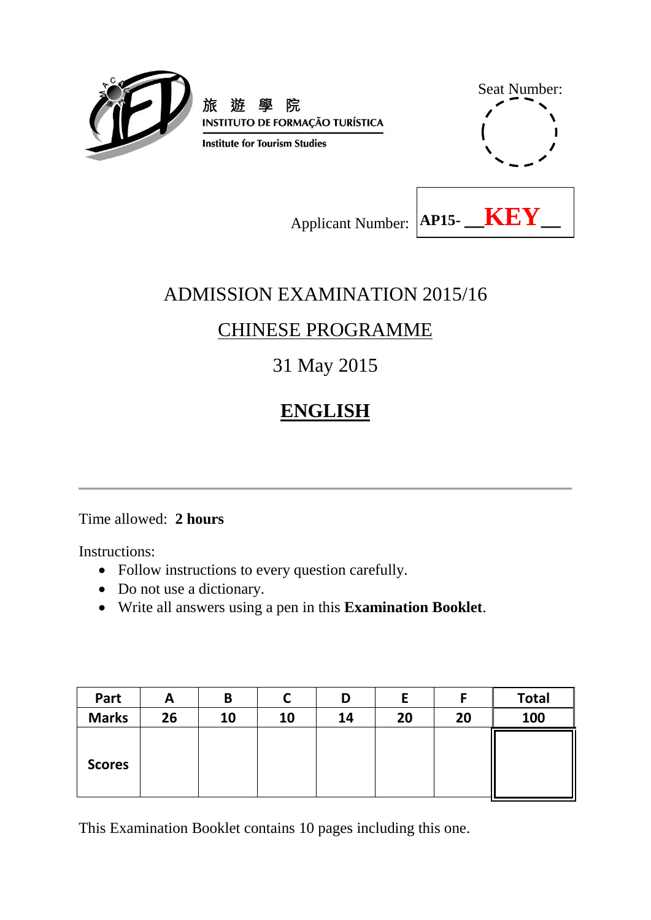



Applicant Number: **AP15- \_\_KEY** \_\_

# ADMISSION EXAMINATION 2015/16

# CHINESE PROGRAMME

# 31 May 2015

# **ENGLISH**

## Time allowed: **2 hours**

Instructions:

- Follow instructions to every question carefully.
- Do not use a dictionary.
- Write all answers using a pen in this **Examination Booklet**.

| Part          | A  | B  |    | D  |    |    | <b>Total</b> |
|---------------|----|----|----|----|----|----|--------------|
| <b>Marks</b>  | 26 | 10 | 10 | 14 | 20 | 20 | 100          |
| <b>Scores</b> |    |    |    |    |    |    |              |

This Examination Booklet contains 10 pages including this one.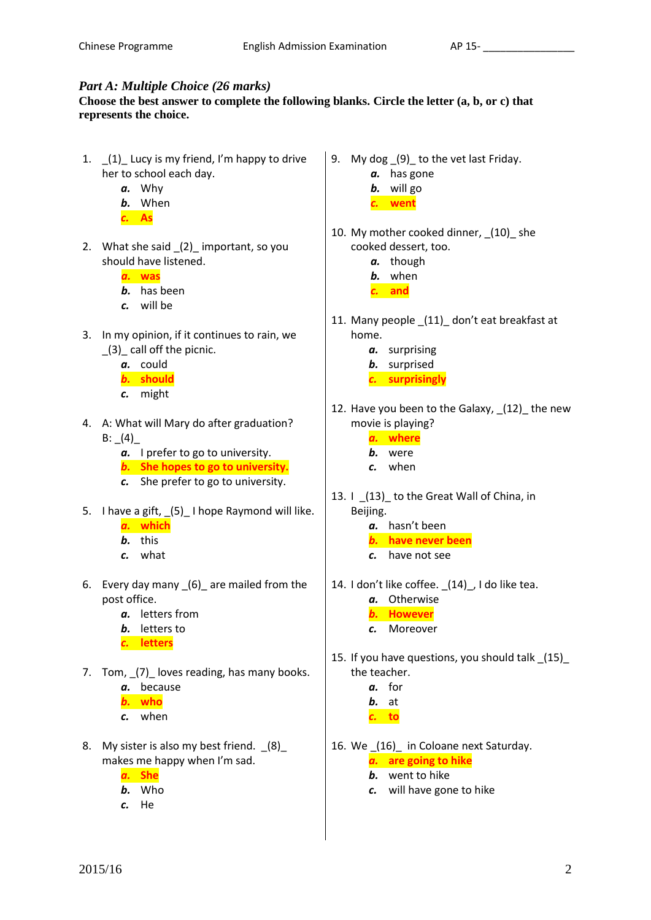#### *Part A: Multiple Choice (26 marks)*

#### **Choose the best answer to complete the following blanks. Circle the letter (a, b, or c) that represents the choice.**

- 1.  $(1)$  Lucy is my friend, I'm happy to drive her to school each day.
	- *a.* Why
	- *b.* When
	- *c.* **As**
- 2. What she said (2) important, so you should have listened.

*a.* **was**

- *b.* has been
- *c.* will be
- 3. In my opinion, if it continues to rain, we \_(3)\_ call off the picnic.
	- *a.* could
	- *b.* **should**
	- *c.* might
- 4. A: What will Mary do after graduation? B:  $(4)$ 
	- *a.* I prefer to go to university.
	- *b.* **She hopes to go to university.**
	- *c.* She prefer to go to university.
- 5. I have a gift, (5) I hope Raymond will like. *a.* **which**
	- *b.* this
	- *c.* what
- 6. Every day many (6) are mailed from the post office.
	- *a.* letters from
	- *b.* letters to
	- *c.* **letters**
- 7. Tom,  $(7)$  loves reading, has many books.
	- *a.* because
	- *b.* **who**
	- *c.* when
- 8. My sister is also my best friend. (8) makes me happy when I'm sad.
	- *a.* **She**
	- *b.* Who
	- *c.* He
- 9. My dog (9) to the vet last Friday.
	- *a.* has gone
	- *b.* will go
	- *c.* **went**
- 10. My mother cooked dinner, (10) she cooked dessert, too.
	- *a.* though
	- *b.* when
	- *c.* **and**
- 11. Many people \_(11)\_ don't eat breakfast at home.
	- *a.* surprising
	- *b.* surprised
	- *c.* **surprisingly**
- 12. Have you been to the Galaxy, \_(12)\_ the new movie is playing?
	- *a.* **where**
	- *b.* were
	- *c.* when
- 13. I \_(13)\_ to the Great Wall of China, in Beijing.
	- *a.* hasn't been
	- *b.* **have never been**
	- *c.* have not see
- 14. I don't like coffee. (14), I do like tea.
	- *a.* Otherwise
	- *b.* **However**
	- *c.* Moreover
- 15. If you have questions, you should talk \_(15)\_ the teacher.
	- *a.* for
	- *b.* at
	- *c.* **to**
- 16. We \_(16)\_ in Coloane next Saturday.
	- *a.* **are going to hike**
	- *b.* went to hike
	- *c.* will have gone to hike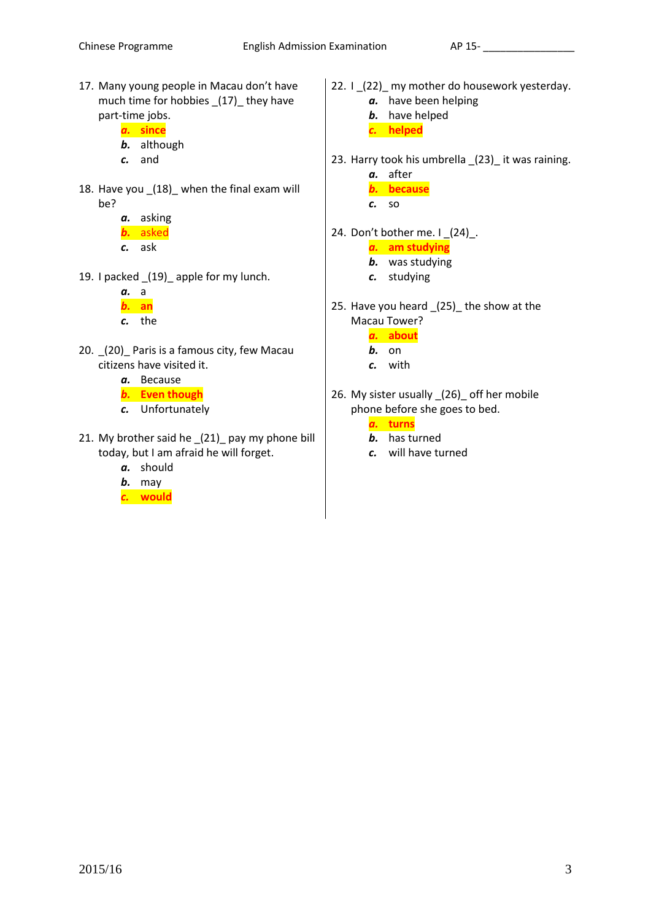- 17. Many young people in Macau don't have much time for hobbies \_(17)\_ they have part-time jobs.
	- *a.* **since**
	- *b.* although
	- *c.* and
- 18. Have you (18) when the final exam will be?
	- *a.* asking *b.* asked
	- *c.* ask
- 19. I packed \_(19)\_ apple for my lunch.
	- *a.* a *b.* **an** *c.* the
- 20. \_(20)\_ Paris is a famous city, few Macau citizens have visited it.
	- *a.* Because
	- *b.* **Even though**
	- *c.* Unfortunately
- 21. My brother said he \_(21)\_ pay my phone bill today, but I am afraid he will forget.
	- *a.* should
	- *b.* may
	- *c.* **would**
- 22. I (22) my mother do housework yesterday.
	- *a.* have been helping
	- *b.* have helped
	- *c.* **helped**
- 23. Harry took his umbrella (23) it was raining.
	- *a.* after
	- *b.* **because**
	- *c.* so
- 24. Don't bother me. I \_(24)\_.
	- *a.* **am studying**
	- *b.* was studying
	- *c.* studying
- 25. Have you heard (25) the show at the Macau Tower?
	- *a.* **about**
	- *b.* on
	- *c.* with
- 26. My sister usually (26) off her mobile phone before she goes to bed.

*a.* **turns**

- *b.* has turned
- *c.* will have turned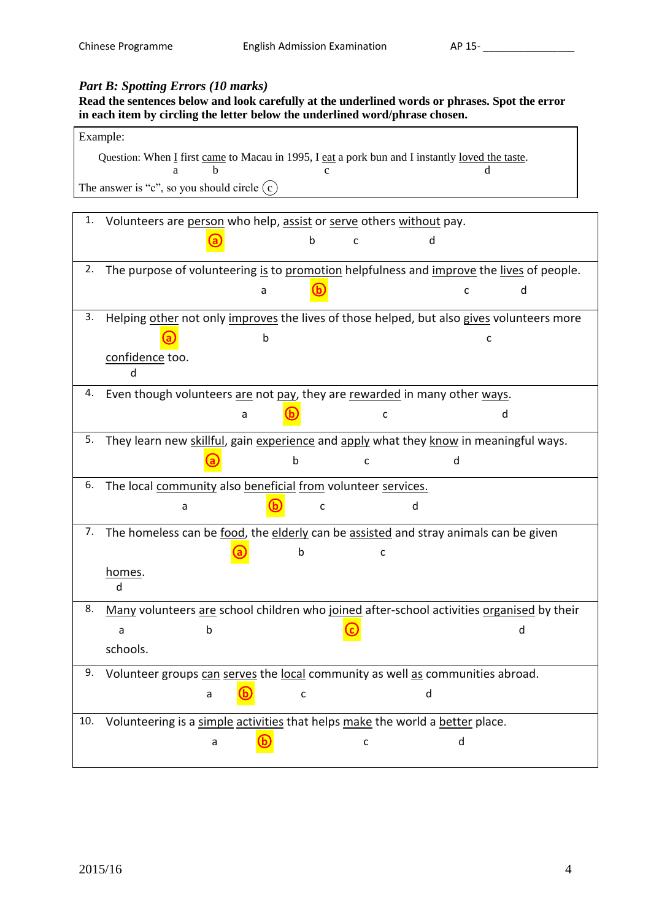## *Part B: Spotting Errors (10 marks)*

### **Read the sentences below and look carefully at the underlined words or phrases. Spot the error in each item by circling the letter below the underlined word/phrase chosen.**

| Example: |
|----------|
|----------|

| Question: When I first came to Macau in 1995, I eat a pork bun and I instantly loved the taste. |  |
|-------------------------------------------------------------------------------------------------|--|
|                                                                                                 |  |
| The answer is "c", so you should circle $(c)$                                                   |  |

| 1.  | Volunteers are person who help, assist or serve others without pay.                       |
|-----|-------------------------------------------------------------------------------------------|
|     | h<br>h<br>C                                                                               |
| 2.  |                                                                                           |
|     | The purpose of volunteering is to promotion helpfulness and improve the lives of people.  |
|     | a                                                                                         |
| 3.  | Helping other not only improves the lives of those helped, but also gives volunteers more |
|     | b<br>C                                                                                    |
|     | confidence too.                                                                           |
|     | d                                                                                         |
| 4.  | Even though volunteers are not pay, they are rewarded in many other ways.                 |
|     | $\sf d$<br>a<br>c                                                                         |
| 5.  | They learn new skillful, gain experience and apply what they know in meaningful ways.     |
|     | b<br>d<br>c                                                                               |
| 6.  | The local community also beneficial from volunteer services.                              |
|     | d<br>C<br>a                                                                               |
| 7.  | The homeless can be food, the elderly can be assisted and stray animals can be given      |
|     | h<br>C.                                                                                   |
|     | homes.                                                                                    |
|     | <sub>d</sub>                                                                              |
| 8.  | Many volunteers are school children who joined after-school activities organised by their |
|     | b<br>d<br>a                                                                               |
|     | schools.                                                                                  |
| 9.  | Volunteer groups can serves the local community as well as communities abroad.            |
|     | d<br>a<br>C                                                                               |
| 10. | Volunteering is a simple activities that helps make the world a better place.             |
|     | d<br>C<br>a                                                                               |
|     |                                                                                           |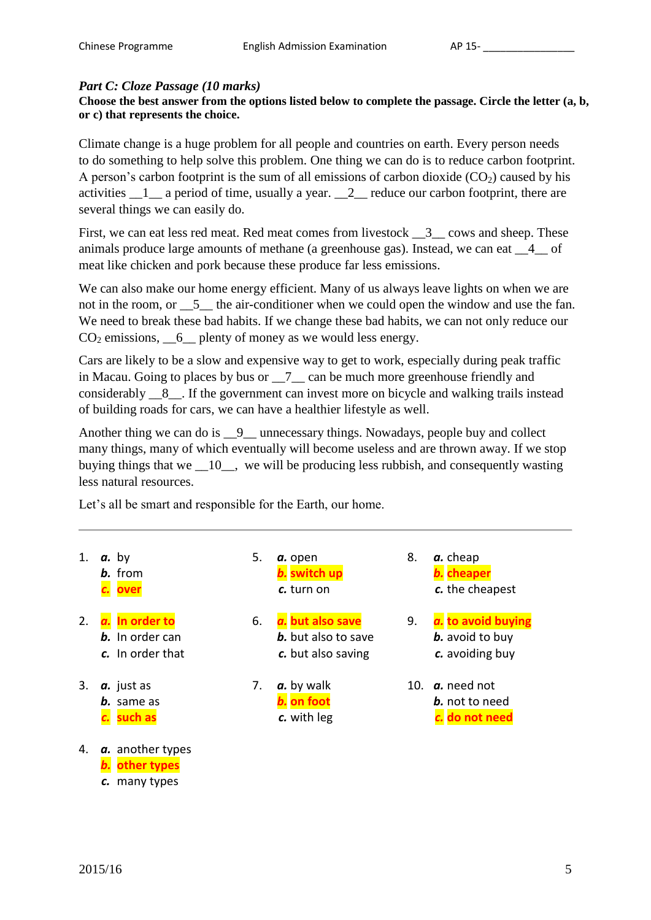#### *Part C: Cloze Passage (10 marks)*

**Choose the best answer from the options listed below to complete the passage. Circle the letter (a, b, or c) that represents the choice.**

Climate change is a huge problem for all people and countries on earth. Every person needs to do something to help solve this problem. One thing we can do is to reduce carbon footprint. A person's carbon footprint is the sum of all emissions of carbon dioxide  $(CO<sub>2</sub>)$  caused by his activities \_\_1\_\_ a period of time, usually a year. \_\_2\_\_ reduce our carbon footprint, there are several things we can easily do.

First, we can eat less red meat. Red meat comes from livestock  $\frac{3}{2}$  cows and sheep. These animals produce large amounts of methane (a greenhouse gas). Instead, we can eat \_\_4\_\_ of meat like chicken and pork because these produce far less emissions.

We can also make our home energy efficient. Many of us always leave lights on when we are not in the room, or  $\frac{5}{2}$  the air-conditioner when we could open the window and use the fan. We need to break these bad habits. If we change these bad habits, we can not only reduce our  $CO<sub>2</sub>$  emissions,  $\_\_6$  plenty of money as we would less energy.

Cars are likely to be a slow and expensive way to get to work, especially during peak traffic in Macau. Going to places by bus or \_\_7\_\_ can be much more greenhouse friendly and considerably \_\_8\_\_. If the government can invest more on bicycle and walking trails instead of building roads for cars, we can have a healthier lifestyle as well.

Another thing we can do is  $\_\_9\_\_$  unnecessary things. Nowadays, people buy and collect many things, many of which eventually will become useless and are thrown away. If we stop buying things that we \_\_10\_\_, we will be producing less rubbish, and consequently wasting less natural resources.

Let's all be smart and responsible for the Earth, our home.

- 
- -
- 
- 4. *a.* another types *b.* **other types** *c.* many types
- *c.* **over** *c.* turn on *c.* the cheapest
- **b.** In order can **b.** but also to save **b.** avoid to buy
- *c.* In order that *c.* but also saving *c.* avoiding buy
	-
- 1. *a.* by 5. *a.* open 8. *a.* cheap *b.* from *b.* **switch up** *b.* **cheaper**
- 2. *a.* **In order to** 6. *a.* **but also save** 9. *a.* **to avoid buying**
- 3. *a.* just as 7. *a.* by walk 10. *a.* need not *b.* same as *b.* **on foot** *b.* not to need *c.* **such as** *c.* with leg *c.* **do not need**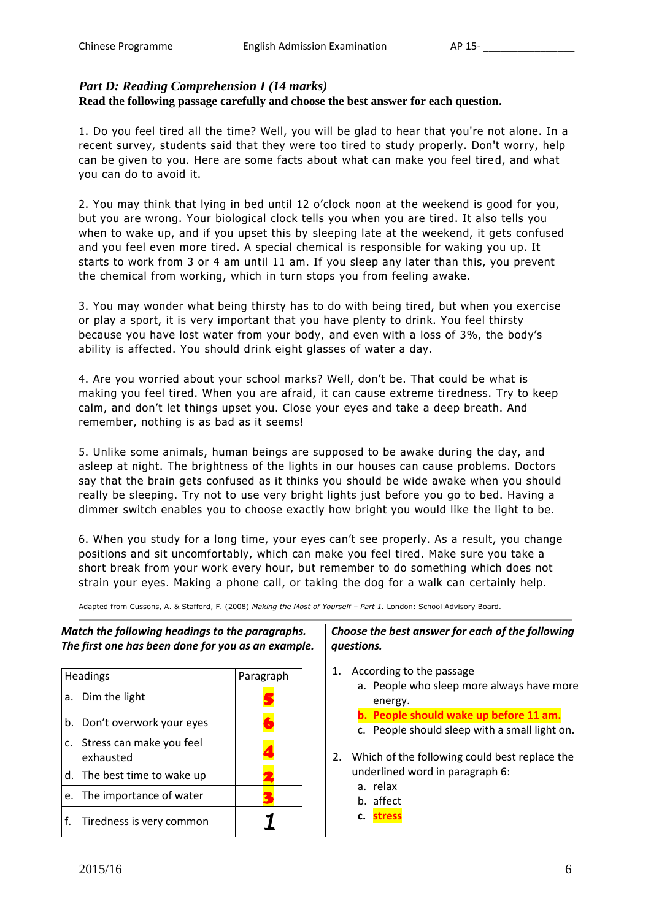## *Part D: Reading Comprehension I (14 marks)*

## **Read the following passage carefully and choose the best answer for each question.**

1. Do you feel tired all the time? Well, you will be glad to hear that you're not alone. In a recent survey, students said that they were too tired to study properly. Don't worry, help can be given to you. Here are some facts about what can make you feel tired, and what you can do to avoid it.

2. You may think that lying in bed until 12 o'clock noon at the weekend is good for you, but you are wrong. Your biological clock tells you when you are tired. It also tells you when to wake up, and if you upset this by sleeping late at the weekend, it gets confused and you feel even more tired. A special chemical is responsible for waking you up. It starts to work from 3 or 4 am until 11 am. If you sleep any later than this, you prevent the chemical from working, which in turn stops you from feeling awake.

3. You may wonder what being thirsty has to do with being tired, but when you exercise or play a sport, it is very important that you have plenty to drink. You feel thirsty because you have lost water from your body, and even with a loss of 3%, the body's ability is affected. You should drink eight glasses of water a day.

4. Are you worried about your school marks? Well, don't be. That could be what is making you feel tired. When you are afraid, it can cause extreme tiredness. Try to keep calm, and don't let things upset you. Close your eyes and take a deep breath. And remember, nothing is as bad as it seems!

5. Unlike some animals, human beings are supposed to be awake during the day, and asleep at night. The brightness of the lights in our houses can cause problems. Doctors say that the brain gets confused as it thinks you should be wide awake when you should really be sleeping. Try not to use very bright lights just before you go to bed. Having a dimmer switch enables you to choose exactly how bright you would like the light to be.

6. When you study for a long time, your eyes can't see properly. As a result, you change positions and sit uncomfortably, which can make you feel tired. Make sure you take a short break from your work every hour, but remember to do something which does not strain your eyes. Making a phone call, or taking the dog for a walk can certainly help.

Adapted from Cussons, A. & Stafford, F. (2008) *Making the Most of Yourself – Part 1.* London: School Advisory Board.

*Match the following headings to the paragraphs. The first one has been done for you as an example.*

|    | Headings                                 | Paragraph |
|----|------------------------------------------|-----------|
| a. | Dim the light                            |           |
|    | b. Don't overwork your eyes              |           |
|    | c. Stress can make you feel<br>exhausted |           |
|    | d. The best time to wake up              |           |
| e. | The importance of water                  |           |
| f. | Tiredness is very common                 |           |

### *Choose the best answer for each of the following questions.*

- 1. According to the passage a. People who sleep more always have more energy.
	- **b. People should wake up before 11 am.**
	- c. People should sleep with a small light on.
- 2. Which of the following could best replace the underlined word in paragraph 6:
	- a. relax
	- b. affect
	- **c. stress**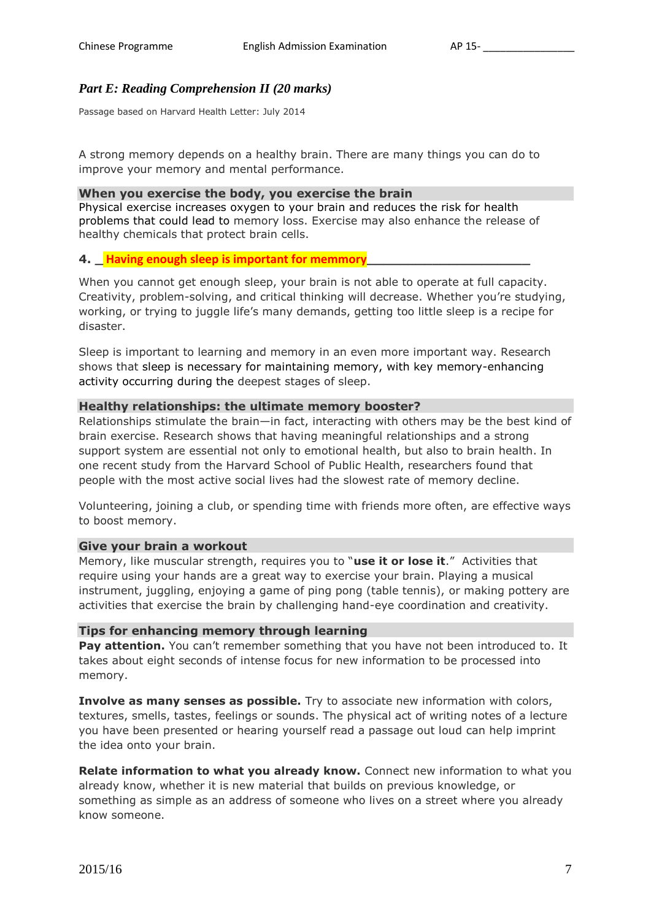#### *Part E: Reading Comprehension II (20 marks)*

Passage based on Harvard Health Letter: July 2014

A strong memory depends on a healthy brain. There are many things you can do to improve your memory and mental performance.

#### **When you exercise the body, you exercise the brain**

Physical exercise increases oxygen to your brain and reduces the risk for health problems that could lead to memory loss. Exercise may also enhance the release of healthy chemicals that protect brain cells.

#### **4. \_ Having enough sleep is important for memmory\_\_\_\_\_\_\_\_\_\_\_\_\_\_\_\_\_\_\_\_**

When you cannot get enough sleep, your brain is not able to operate at full capacity. Creativity, problem-solving, and critical thinking will decrease. Whether you're studying, working, or trying to juggle life's many demands, getting too little sleep is a recipe for disaster.

Sleep is important to learning and memory in an even more important way. Research shows that sleep is necessary for maintaining memory, with key memory-enhancing activity occurring during the deepest stages of sleep.

#### **Healthy relationships: the ultimate memory booster?**

Relationships stimulate the brain—in fact, interacting with others may be the best kind of brain exercise. Research shows that having meaningful relationships and a strong support system are essential not only to emotional health, but also to brain health. In one recent study from the Harvard School of Public Health, researchers found that people with the most active social lives had the slowest rate of memory decline.

Volunteering, joining a club, or spending time with friends more often, are effective ways to boost memory.

#### **Give your brain a workout**

Memory, like muscular strength, requires you to "**use it or lose it**." Activities that require using your hands are a great way to exercise your brain. Playing a musical instrument, juggling, enjoying a game of ping pong (table tennis), or making pottery are activities that exercise the brain by challenging hand-eye coordination and creativity.

#### **Tips for enhancing memory through learning**

**Pay attention.** You can't remember something that you have not been introduced to. It takes about eight seconds of intense focus for new information to be processed into memory.

**Involve as many senses as possible.** Try to associate new information with colors, textures, smells, tastes, feelings or sounds. The physical act of writing notes of a lecture you have been presented or hearing yourself read a passage out loud can help imprint the idea onto your brain.

**Relate information to what you already know.** Connect new information to what you already know, whether it is new material that builds on previous knowledge, or something as simple as an address of someone who lives on a street where you already know someone.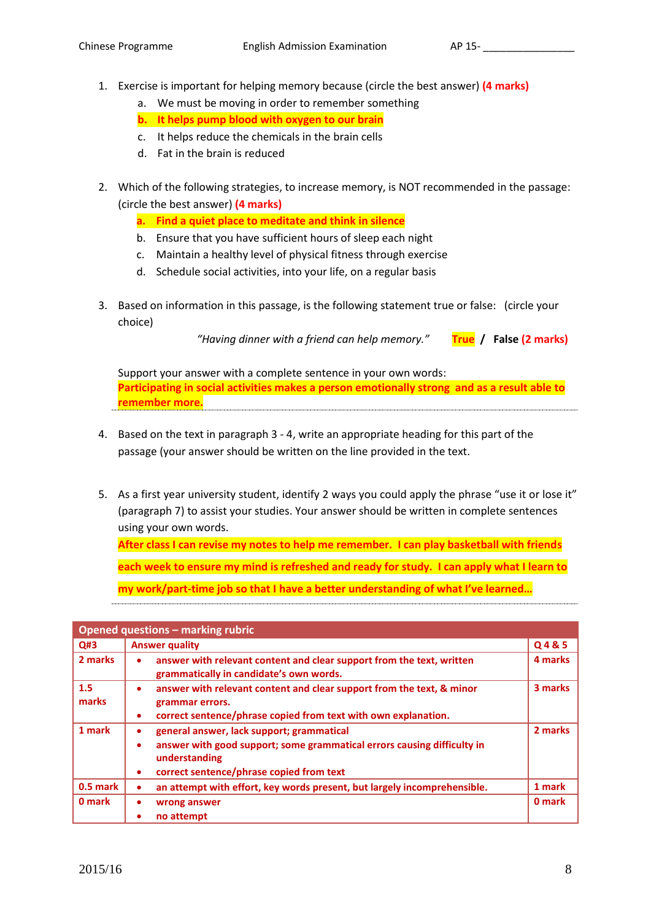- 1. Exercise is important for helping memory because (circle the best answer) **(4 marks)**
	- a. We must be moving in order to remember something
	- **b. It helps pump blood with oxygen to our brain**
	- c. It helps reduce the chemicals in the brain cells
	- d. Fat in the brain is reduced
- 2. Which of the following strategies, to increase memory, is NOT recommended in the passage: (circle the best answer) **(4 marks)**
	- **a. Find a quiet place to meditate and think in silence**
	- b. Ensure that you have sufficient hours of sleep each night
	- c. Maintain a healthy level of physical fitness through exercise
	- d. Schedule social activities, into your life, on a regular basis
- 3. Based on information in this passage, is the following statement true or false: (circle your choice)

```
"Having dinner with a friend can help memory." True / False (2 marks)
```
Support your answer with a complete sentence in your own words: **Participating in social activities makes a person emotionally strong and as a result able to remember more.**

- 4. Based on the text in paragraph 3 4, write an appropriate heading for this part of the passage (your answer should be written on the line provided in the text.
- 5. As a first year university student, identify 2 ways you could apply the phrase "use it or lose it" (paragraph 7) to assist your studies. Your answer should be written in complete sentences using your own words.

**After class I can revise my notes to help me remember. I can play basketball with friends** 

**each week to ensure my mind is refreshed and ready for study. I can apply what I learn to** 

**my work/part-time job so that I have a better understanding of what I've learned…**

| Opened questions - marking rubric |                                                                                                                                                                                                  |         |  |  |
|-----------------------------------|--------------------------------------------------------------------------------------------------------------------------------------------------------------------------------------------------|---------|--|--|
| Q#3                               | <b>Answer quality</b>                                                                                                                                                                            |         |  |  |
| 2 marks                           | answer with relevant content and clear support from the text, written<br>۰<br>grammatically in candidate's own words.                                                                            | 4 marks |  |  |
| 1.5<br>marks                      | answer with relevant content and clear support from the text, & minor<br>۰<br>grammar errors.<br>correct sentence/phrase copied from text with own explanation.                                  | 3 marks |  |  |
| 1 mark                            | general answer, lack support; grammatical<br>٠<br>answer with good support; some grammatical errors causing difficulty in<br>٠<br>understanding<br>correct sentence/phrase copied from text<br>٠ | 2 marks |  |  |
| $0.5$ mark                        | an attempt with effort, key words present, but largely incomprehensible.                                                                                                                         | 1 mark  |  |  |
| 0 mark                            | wrong answer<br>no attempt                                                                                                                                                                       | 0 mark  |  |  |